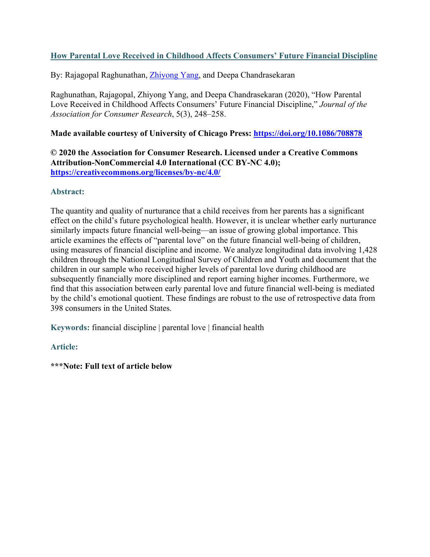# **How Parental Love Received in Childhood Affects Consumers' Future Financial Discipline**

By: Rajagopal Raghunathan, [Zhiyong Yang,](http://libres.uncg.edu/ir/uncg/clist.aspx?id=25898) and Deepa Chandrasekaran

Raghunathan, Rajagopal, Zhiyong Yang, and Deepa Chandrasekaran (2020), "How Parental Love Received in Childhood Affects Consumers' Future Financial Discipline," *Journal of the Association for Consumer Research*, 5(3), 248–258.

# **Made available courtesy of University of Chicago Press:<https://doi.org/10.1086/708878>**

**© 2020 the Association for Consumer Research. Licensed under a Creative Commons Attribution-NonCommercial 4.0 International (CC BY-NC 4.0); <https://creativecommons.org/licenses/by-nc/4.0/>**

# **Abstract:**

The quantity and quality of nurturance that a child receives from her parents has a significant effect on the child's future psychological health. However, it is unclear whether early nurturance similarly impacts future financial well-being—an issue of growing global importance. This article examines the effects of "parental love" on the future financial well-being of children, using measures of financial discipline and income. We analyze longitudinal data involving 1,428 children through the National Longitudinal Survey of Children and Youth and document that the children in our sample who received higher levels of parental love during childhood are subsequently financially more disciplined and report earning higher incomes. Furthermore, we find that this association between early parental love and future financial well-being is mediated by the child's emotional quotient. These findings are robust to the use of retrospective data from 398 consumers in the United States.

**Keywords:** financial discipline | parental love | financial health

# **Article:**

**\*\*\*Note: Full text of article below**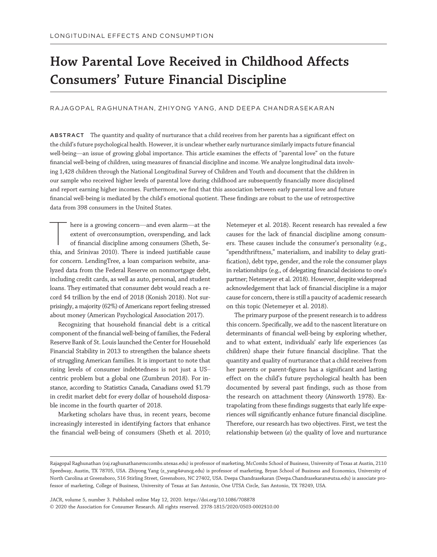# How Parental Love Received in Childhood Affects Consumers' Future Financial Discipline

## RAJAGOPAL RAGHUNATHAN, ZHIYONG YANG, AND DEEPA CHANDRASEKARAN

ABSTRACT The quantity and quality of nurturance that a child receives from her parents has a significant effect on the child's future psychological health. However, it is unclear whether early nurturance similarly impacts future financial well-being—an issue of growing global importance. This article examines the effects of "parental love" on the future financial well-being of children, using measures of financial discipline and income. We analyze longitudinal data involving 1,428 children through the National Longitudinal Survey of Children and Youth and document that the children in our sample who received higher levels of parental love during childhood are subsequently financially more disciplined and report earning higher incomes. Furthermore, we find that this association between early parental love and future financial well-being is mediated by the child's emotional quotient. These findings are robust to the use of retrospective data from 398 consumers in the United States.

here is a growing concern—and even alarm—at the<br>extent of overconsumption, overspending, and lack<br>of financial discipline among consumers (Sheth, Seextent of overconsumption, overspending, and lack of financial discipline among consumers (Sheth, Sethia, and Srinivas 2010). There is indeed justifiable cause for concern. LendingTree, a loan comparison website, analyzed data from the Federal Reserve on nonmortgage debt, including credit cards, as well as auto, personal, and student loans. They estimated that consumer debt would reach a record \$4 trillion by the end of 2018 (Konish 2018). Not surprisingly, a majority (62%) of Americans report feeling stressed about money (American Psychological Association 2017).

Recognizing that household financial debt is a critical component of the financial well-being of families, the Federal Reserve Bank of St. Louis launched the Center for Household Financial Stability in 2013 to strengthen the balance sheets of struggling American families. It is important to note that rising levels of consumer indebtedness is not just a US– centric problem but a global one (Zumbrun 2018). For instance, according to Statistics Canada, Canadians owed \$1.79 in credit market debt for every dollar of household disposable income in the fourth quarter of 2018.

Marketing scholars have thus, in recent years, become increasingly interested in identifying factors that enhance the financial well-being of consumers (Sheth et al. 2010; Netemeyer et al. 2018). Recent research has revealed a few causes for the lack of financial discipline among consumers. These causes include the consumer's personality (e.g., "spendthriftness," materialism, and inability to delay gratification), debt type, gender, and the role the consumer plays in relationships (e.g., of delegating financial decisions to one's partner; Netemeyer et al. 2018). However, despite widespread acknowledgement that lack of financial discipline is a major cause for concern, there is still a paucity of academic research on this topic (Netemeyer et al. 2018).

The primary purpose of the present research is to address this concern. Specifically, we add to the nascent literature on determinants of financial well-being by exploring whether, and to what extent, individuals' early life experiences (as children) shape their future financial discipline. That the quantity and quality of nurturance that a child receives from her parents or parent-figures has a significant and lasting effect on the child's future psychological health has been documented by several past findings, such as those from the research on attachment theory (Ainsworth 1978). Extrapolating from these findings suggests that early life experiences will significantly enhance future financial discipline. Therefore, our research has two objectives. First, we test the relationship between (a) the quality of love and nurturance

JACR, volume 5, number 3. Published online May 12, 2020. https://doi.org/10.1086/708878 © 2020 the Association for Consumer Research. All rights reserved. 2378-1815/2020/0503-0002\$10.00

Rajagopal Raghunathan (raj.raghunathan@mccombs.utexas.edu) is professor of marketing, McCombs School of Business, University of Texas at Austin, 2110 Speedway, Austin, TX 78705, USA. Zhiyong Yang (z\_yang4@uncg.edu) is professor of marketing, Bryan School of Business and Economics, University of North Carolina at Greensboro, 516 Stirling Street, Greensboro, NC 27402, USA. Deepa Chandrasekaran (Deepa.Chandrasekaran@utsa.edu) is associate professor of marketing, College of Business, University of Texas at San Antonio, One UTSA Circle, San Antonio, TX 78249, USA.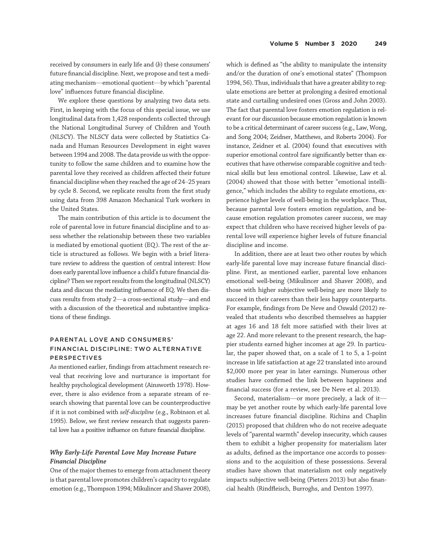received by consumers in early life and  $(b)$  these consumers' future financial discipline. Next, we propose and test a mediating mechanism—emotional quotient—by which "parental love" influences future financial discipline.

We explore these questions by analyzing two data sets. First, in keeping with the focus of this special issue, we use longitudinal data from 1,428 respondents collected through the National Longitudinal Survey of Children and Youth (NLSCY). The NLSCY data were collected by Statistics Canada and Human Resources Development in eight waves between 1994 and 2008. The data provide us with the opportunity to follow the same children and to examine how the parental love they received as children affected their future financial discipline when they reached the age of 24–25 years by cycle 8. Second, we replicate results from the first study using data from 398 Amazon Mechanical Turk workers in the United States.

The main contribution of this article is to document the role of parental love in future financial discipline and to assess whether the relationship between these two variables is mediated by emotional quotient (EQ ). The rest of the article is structured as follows. We begin with a brief literature review to address the question of central interest: How does early parental love influence a child's future financial discipline? Then we report results from the longitudinal (NLSCY) data and discuss the mediating influence of EQ. We then discuss results from study 2—a cross-sectional study—and end with a discussion of the theoretical and substantive implications of these findings.

# PARENTAL LOVE AND CONSUMERS' FINANCIAL DISCIPLINE: TWO ALTERNATIVE PERSPECTIVES

As mentioned earlier, findings from attachment research reveal that receiving love and nurturance is important for healthy psychological development (Ainsworth 1978). However, there is also evidence from a separate stream of research showing that parental love can be counterproductive if it is not combined with self-discipline (e.g., Robinson et al. 1995). Below, we first review research that suggests parental love has a positive influence on future financial discipline.

## Why Early-Life Parental Love May Increase Future Financial Discipline

One of the major themes to emerge from attachment theory is that parental love promotes children's capacity to regulate emotion (e.g., Thompson 1994; Mikulincer and Shaver 2008),

which is defined as "the ability to manipulate the intensity and/or the duration of one's emotional states" (Thompson 1994, 56). Thus, individuals that have a greater ability to regulate emotions are better at prolonging a desired emotional state and curtailing undesired ones (Gross and John 2003). The fact that parental love fosters emotion regulation is relevant for our discussion because emotion regulation is known to be a critical determinant of career success (e.g., Law, Wong, and Song 2004; Zeidner, Matthews, and Roberts 2004). For instance, Zeidner et al. (2004) found that executives with superior emotional control fare significantly better than executives that have otherwise comparable cognitive and technical skills but less emotional control. Likewise, Law et al. (2004) showed that those with better "emotional intelligence," which includes the ability to regulate emotions, experience higher levels of well-being in the workplace. Thus, because parental love fosters emotion regulation, and because emotion regulation promotes career success, we may expect that children who have received higher levels of parental love will experience higher levels of future financial discipline and income.

In addition, there are at least two other routes by which early-life parental love may increase future financial discipline. First, as mentioned earlier, parental love enhances emotional well-being (Mikulincer and Shaver 2008), and those with higher subjective well-being are more likely to succeed in their careers than their less happy counterparts. For example, findings from De Neve and Oswald (2012) revealed that students who described themselves as happier at ages 16 and 18 felt more satisfied with their lives at age 22. And more relevant to the present research, the happier students earned higher incomes at age 29. In particular, the paper showed that, on a scale of 1 to 5, a 1-point increase in life satisfaction at age 22 translated into around \$2,000 more per year in later earnings. Numerous other studies have confirmed the link between happiness and financial success (for a review, see De Neve et al. 2013).

Second, materialism—or more precisely, a lack of it may be yet another route by which early-life parental love increases future financial discipline. Richins and Chaplin (2015) proposed that children who do not receive adequate levels of "parental warmth" develop insecurity, which causes them to exhibit a higher propensity for materialism later as adults, defined as the importance one accords to possessions and to the acquisition of these possessions. Several studies have shown that materialism not only negatively impacts subjective well-being (Pieters 2013) but also financial health (Rindfleisch, Burroghs, and Denton 1997).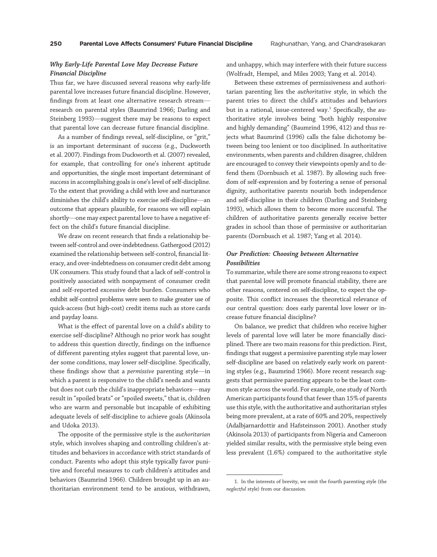## Why Early-Life Parental Love May Decrease Future Financial Discipline

Thus far, we have discussed several reasons why early-life parental love increases future financial discipline. However, findings from at least one alternative research stream research on parental styles (Baumrind 1966; Darling and Steinberg 1993)—suggest there may be reasons to expect that parental love can decrease future financial discipline.

As a number of findings reveal, self-discipline, or "grit," is an important determinant of success (e.g., Duckworth et al. 2007). Findings from Duckworth et al. (2007) revealed, for example, that controlling for one's inherent aptitude and opportunities, the single most important determinant of success in accomplishing goals is one's level of self-discipline. To the extent that providing a child with love and nurturance diminishes the child's ability to exercise self-discipline—an outcome that appears plausible, for reasons we will explain shortly—one may expect parental love to have a negative effect on the child's future financial discipline.

We draw on recent research that finds a relationship between self-control and over-indebtedness. Gathergood (2012) examined the relationship between self-control, financial literacy, and over-indebtedness on consumer credit debt among UK consumers. This study found that a lack of self-control is positively associated with nonpayment of consumer credit and self-reported excessive debt burden. Consumers who exhibit self-control problems were seen to make greater use of quick-access (but high-cost) credit items such as store cards and payday loans.

What is the effect of parental love on a child's ability to exercise self-discipline? Although no prior work has sought to address this question directly, findings on the influence of different parenting styles suggest that parental love, under some conditions, may lower self-discipline. Specifically, these findings show that a permissive parenting style—in which a parent is responsive to the child's needs and wants but does not curb the child's inappropriate behaviors—may result in "spoiled brats" or "spoiled sweets," that is, children who are warm and personable but incapable of exhibiting adequate levels of self-discipline to achieve goals (Akinsola and Udoka 2013).

The opposite of the permissive style is the authoritarian style, which involves shaping and controlling children's attitudes and behaviors in accordance with strict standards of conduct. Parents who adopt this style typically favor punitive and forceful measures to curb children's attitudes and behaviors (Baumrind 1966). Children brought up in an authoritarian environment tend to be anxious, withdrawn, and unhappy, which may interfere with their future success (Wolfradt, Hempel, and Miles 2003; Yang et al. 2014).

Between these extremes of permissiveness and authoritarian parenting lies the authoritative style, in which the parent tries to direct the child's attitudes and behaviors but in a rational, issue-centered way.<sup>1</sup> Specifically, the authoritative style involves being "both highly responsive and highly demanding" (Baumrind 1996, 412) and thus rejects what Baumrind (1996) calls the false dichotomy between being too lenient or too disciplined. In authoritative environments, when parents and children disagree, children are encouraged to convey their viewpoints openly and to defend them (Dornbusch et al. 1987). By allowing such freedom of self-expression and by fostering a sense of personal dignity, authoritative parents nourish both independence and self-discipline in their children (Darling and Steinberg 1993), which allows them to become more successful. The children of authoritative parents generally receive better grades in school than those of permissive or authoritarian parents (Dornbusch et al. 1987; Yang et al. 2014).

## Our Prediction: Choosing between Alternative Possibilities

To summarize, while there are some strong reasons to expect that parental love will promote financial stability, there are other reasons, centered on self-discipline, to expect the opposite. This conflict increases the theoretical relevance of our central question: does early parental love lower or increase future financial discipline?

On balance, we predict that children who receive higher levels of parental love will later be more financially disciplined. There are two main reasons for this prediction. First, findings that suggest a permissive parenting style may lower self-discipline are based on relatively early work on parenting styles (e.g., Baumrind 1966). More recent research suggests that permissive parenting appears to be the least common style across the world. For example, one study of North American participants found that fewer than 15% of parents use this style, with the authoritative and authoritarian styles being more prevalent, at a rate of 60% and 20%, respectively (Adalbjarnardottir and Hafsteinsson 2001). Another study (Akinsola 2013) of participants from Nigeria and Cameroon yielded similar results, with the permissive style being even less prevalent (1.6%) compared to the authoritative style

<sup>1.</sup> In the interests of brevity, we omit the fourth parenting style (the neglectful style) from our discussion.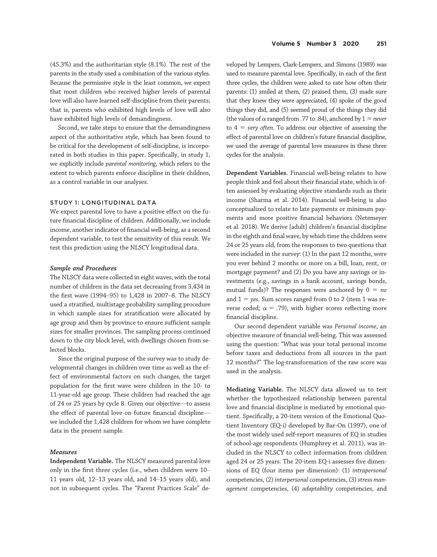(45.3%) and the authoritarian style (8.1%). The rest of the parents in the study used a combination of the various styles. Because the permissive style is the least common, we expect that most children who received higher levels of parental love will also have learned self-discipline from their parents; that is, parents who exhibited high levels of love will also have exhibited high levels of demandingness.

Second, we take steps to ensure that the demandingness aspect of the authoritative style, which has been found to be critical for the development of self-discipline, is incorporated in both studies in this paper. Specifically, in study 1, we explicitly include parental monitoring, which refers to the extent to which parents enforce discipline in their children, as a control variable in our analyses.

### STUDY 1: LONGITUDINAL DATA

We expect parental love to have a positive effect on the future financial discipline of children. Additionally, we include income, another indicator of financial well-being, as a second dependent variable, to test the sensitivity of this result. We test this prediction using the NLSCY longitudinal data.

#### Sample and Procedures

The NLSCY data were collected in eight waves, with the total number of children in the data set decreasing from 3,434 in the first wave (1994–95) to 1,428 in 2007–8. The NLSCY used a stratified, multistage probability sampling procedure in which sample sizes for stratification were allocated by age group and then by province to ensure sufficient sample sizes for smaller provinces. The sampling process continued down to the city block level, with dwellings chosen from selected blocks.

Since the original purpose of the survey was to study developmental changes in children over time as well as the effect of environmental factors on such changes, the target population for the first wave were children in the 10- to 11-year-old age group. These children had reached the age of 24 or 25 years by cycle 8. Given our objective—to assess the effect of parental love on future financial discipline we included the 1,428 children for whom we have complete data in the present sample.

#### Measures

Independent Variable. The NLSCY measured parental love only in the first three cycles (i.e., when children were 10– 11 years old, 12–13 years old, and 14–15 years old), and not in subsequent cycles. The "Parent Practices Scale" de-

veloped by Lempers, Clark-Lempers, and Simons (1989) was used to measure parental love. Specifically, in each of the first three cycles, the children were asked to rate how often their parents: (1) smiled at them, (2) praised them, (3) made sure that they knew they were appreciated, (4) spoke of the good things they did, and (5) seemed proud of the things they did (the values of  $\alpha$  ranged from .77 to .84), anchored by  $1 = never$ to  $4 =$  very often. To address our objective of assessing the effect of parental love on children's future financial discipline, we used the average of parental love measures in these three cycles for the analysis.

Dependent Variables. Financial well-being relates to how people think and feel about their financial state, which is often assessed by evaluating objective standards such as their income (Sharma et al. 2014). Financial well-being is also conceptualized to relate to late payments or minimum payments and more positive financial behaviors (Netemeyer et al. 2018). We derive [adult] children's financial discipline in the eighth and final wave, by which time the children were 24 or 25 years old, from the responses to two questions that were included in the survey: (1) In the past 12 months, were you ever behind 2 months or more on a bill, loan, rent, or mortgage payment? and (2) Do you have any savings or investments (e.g., savings in a bank account, savings bonds, mutual funds)? The responses were anchored by  $0 = no$ and  $1 = yes$ . Sum scores ranged from 0 to 2 (item 1 was reverse coded;  $\alpha = .79$ ), with higher scores reflecting more financial discipline.

Our second dependent variable was Personal income, an objective measure of financial well-being. This was assessed using the question: "What was your total personal income before taxes and deductions from all sources in the past 12 months?" The log-transformation of the raw score was used in the analysis.

Mediating Variable. The NLSCY data allowed us to test whether the hypothesized relationship between parental love and financial discipline is mediated by emotional quotient. Specifically, a 20-item version of the Emotional Quotient Inventory (EQ-i) developed by Bar-On (1997), one of the most widely used self-report measures of EQ in studies of school-age respondents (Humphrey et al. 2011), was included in the NLSCY to collect information from children aged 24 or 25 years. The 20-item EQ-i assesses five dimensions of EQ (four items per dimension): (1) intrapersonal competencies, (2) interpersonal competencies, (3) stress management competencies, (4) adaptability competencies, and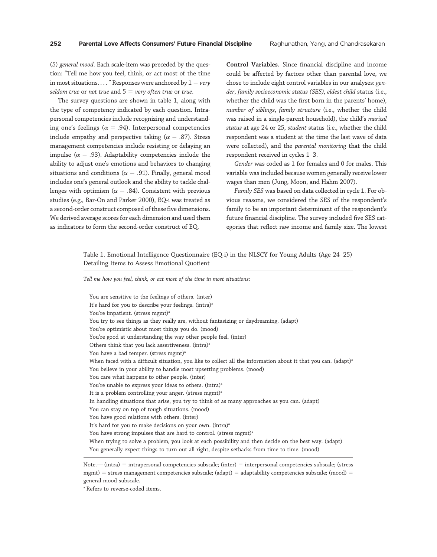(5) general mood. Each scale-item was preceded by the question: "Tell me how you feel, think, or act most of the time in most situations. . . . " Responses were anchored by  $1 = \text{very}$ seldom true or not true and  $5 =$  very often true or true.

The survey questions are shown in table 1, along with the type of competency indicated by each question. Intrapersonal competencies include recognizing and understanding one's feelings ( $\alpha = .94$ ). Interpersonal competencies include empathy and perspective taking ( $\alpha$  = .87). Stress management competencies include resisting or delaying an impulse ( $\alpha = .93$ ). Adaptability competencies include the ability to adjust one's emotions and behaviors to changing situations and conditions ( $\alpha$  = .91). Finally, general mood includes one's general outlook and the ability to tackle challenges with optimism ( $\alpha = .84$ ). Consistent with previous studies (e.g., Bar-On and Parker 2000), EQ-i was treated as a second-order construct composed of these five dimensions. We derived average scores for each dimension and used them as indicators to form the second-order construct of EQ.

Control Variables. Since financial discipline and income could be affected by factors other than parental love, we chose to include eight control variables in our analyses: gender, family socioeconomic status (SES), eldest child status (i.e., whether the child was the first born in the parents' home), number of siblings, family structure (i.e., whether the child was raised in a single-parent household), the child's marital status at age 24 or 25, student status (i.e., whether the child respondent was a student at the time the last wave of data were collected), and the parental monitoring that the child respondent received in cycles 1–3.

Gender was coded as 1 for females and 0 for males. This variable was included because women generally receive lower wages than men (Jung, Moon, and Hahm 2007).

Family SES was based on data collected in cycle 1. For obvious reasons, we considered the SES of the respondent's family to be an important determinant of the respondent's future financial discipline. The survey included five SES categories that reflect raw income and family size. The lowest

Table 1. Emotional Intelligence Questionnaire (EQ-i) in the NLSCY for Young Adults (Age 24–25) Detailing Items to Assess Emotional Quotient

Tell me how you feel, think, or act most of the time in most situations:

You are sensitive to the feelings of others. (inter) It's hard for you to describe your feelings. (intra)<sup>a</sup> You're impatient. (stress mgmt)<sup>a</sup> You try to see things as they really are, without fantasizing or daydreaming. (adapt) You're optimistic about most things you do. (mood) You're good at understanding the way other people feel. (inter) Others think that you lack assertiveness. (intra)<sup>a</sup> You have a bad temper. (stress mgmt)<sup>a</sup> When faced with a difficult situation, you like to collect all the information about it that you can. (adapt)<sup>a</sup> You believe in your ability to handle most upsetting problems. (mood) You care what happens to other people. (inter) You're unable to express your ideas to others. (intra)<sup>a</sup> It is a problem controlling your anger. (stress mgmt)<sup>a</sup> In handling situations that arise, you try to think of as many approaches as you can. (adapt) You can stay on top of tough situations. (mood) You have good relations with others. (inter) It's hard for you to make decisions on your own. (intra)<sup>a</sup> You have strong impulses that are hard to control. (stress mgmt)<sup>a</sup> When trying to solve a problem, you look at each possibility and then decide on the best way. (adapt) You generally expect things to turn out all right, despite setbacks from time to time. (mood)

Note.— (intra) = intrapersonal competencies subscale; (inter) = interpersonal competencies subscale; (stress mgmt) = stress management competencies subscale; (adapt) = adaptability competencies subscale; (mood) = general mood subscale.

<sup>&</sup>lt;sup>a</sup> Refers to reverse-coded items.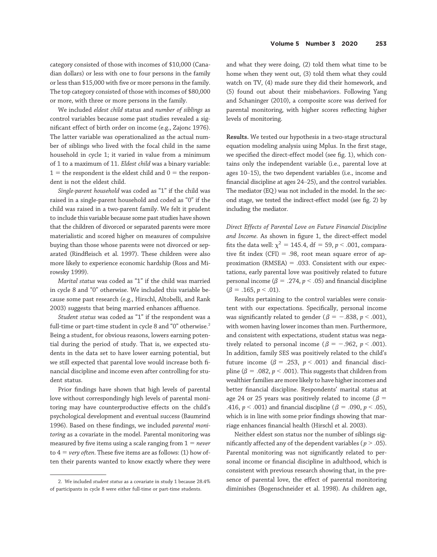category consisted of those with incomes of \$10,000 (Canadian dollars) or less with one to four persons in the family or less than \$15,000 with five or more persons in the family. The top category consisted of those with incomes of \$80,000 or more, with three or more persons in the family.

We included eldest child status and number of siblings as control variables because some past studies revealed a significant effect of birth order on income (e.g., Zajonc 1976). The latter variable was operationalized as the actual number of siblings who lived with the focal child in the same household in cycle 1; it varied in value from a minimum of 1 to a maximum of 11. Eldest child was a binary variable:  $1 =$  the respondent is the eldest child and  $0 =$  the respondent is not the eldest child.

Single-parent household was coded as "1" if the child was raised in a single-parent household and coded as "0" if the child was raised in a two-parent family. We felt it prudent to include this variable because some past studies have shown that the children of divorced or separated parents were more materialistic and scored higher on measures of compulsive buying than those whose parents were not divorced or separated (Rindfleisch et al. 1997). These children were also more likely to experience economic hardship (Ross and Mirowsky 1999).

Marital status was coded as "1" if the child was married in cycle 8 and "0" otherwise. We included this variable because some past research (e.g., Hirschl, Altobelli, and Rank 2003) suggests that being married enhances affluence.

Student status was coded as "1" if the respondent was a full-time or part-time student in cycle 8 and "0" otherwise.<sup>2</sup> Being a student, for obvious reasons, lowers earning potential during the period of study. That is, we expected students in the data set to have lower earning potential, but we still expected that parental love would increase both financial discipline and income even after controlling for student status.

Prior findings have shown that high levels of parental love without correspondingly high levels of parental monitoring may have counterproductive effects on the child's psychological development and eventual success (Baumrind 1996). Based on these findings, we included parental monitoring as a covariate in the model. Parental monitoring was measured by five items using a scale ranging from  $1 = never$ to  $4 = \text{very often.}$  These five items are as follows: (1) how often their parents wanted to know exactly where they were

and what they were doing, (2) told them what time to be home when they went out, (3) told them what they could watch on TV, (4) made sure they did their homework, and (5) found out about their misbehaviors. Following Yang and Schaninger (2010), a composite score was derived for parental monitoring, with higher scores reflecting higher levels of monitoring.

Results. We tested our hypothesis in a two-stage structural equation modeling analysis using Mplus. In the first stage, we specified the direct-effect model (see fig. 1), which contains only the independent variable (i.e., parental love at ages 10–15), the two dependent variables (i.e., income and financial discipline at ages 24–25), and the control variables. The mediator (EQ) was not included in the model. In the second stage, we tested the indirect-effect model (see fig. 2) by including the mediator.

Direct Effects of Parental Love on Future Financial Discipline and Income. As shown in figure 1, the direct-effect model fits the data well:  $\chi^2 = 145.4$ , df = 59, p < .001, comparative fit index (CFI) =  $.98$ , root mean square error of approximation (RMSEA) =  $.033$ . Consistent with our expectations, early parental love was positively related to future personal income ( $\beta = .274$ ,  $p < .05$ ) and financial discipline  $(\beta = .165, p < .01).$ 

Results pertaining to the control variables were consistent with our expectations. Specifically, personal income was significantly related to gender ( $\beta = -.838$ ,  $p < .001$ ), with women having lower incomes than men. Furthermore, and consistent with expectations, student status was negatively related to personal income ( $\beta = -.962$ ,  $p < .001$ ). In addition, family SES was positively related to the child's future income ( $\beta$  = .253,  $p$  < .001) and financial discipline ( $\beta = .082$ ,  $p < .001$ ). This suggests that children from wealthier families are more likely to have higher incomes and better financial discipline. Respondents' marital status at age 24 or 25 years was positively related to income ( $\beta$  = .416,  $p < .001$ ) and financial discipline ( $\beta = .090, p < .05$ ), which is in line with some prior findings showing that marriage enhances financial health (Hirschl et al. 2003).

Neither eldest son status nor the number of siblings significantly affected any of the dependent variables ( $p > .05$ ). Parental monitoring was not significantly related to personal income or financial discipline in adulthood, which is consistent with previous research showing that, in the presence of parental love, the effect of parental monitoring diminishes (Bogenschneider et al. 1998). As children age,

<sup>2.</sup> We included student status as a covariate in study 1 because 28.4% of participants in cycle 8 were either full-time or part-time students.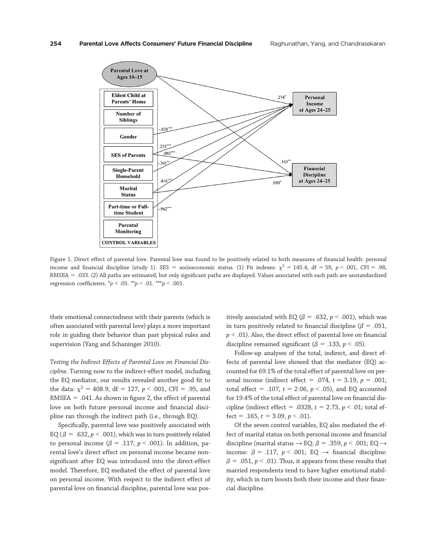

Figure 1. Direct effect of parental love. Parental love was found to be positively related to both measures of financial health: personal income and financial discipline (study 1). SES = socioeconomic status. (1) Fit indexes:  $\chi^2 = 145.4$ , df = 59, p < .001, CFI = .98, RMSEA = .033. (2) All paths are estimated, but only significant paths are displayed. Values associated with each path are unstandardized regression coefficients.  $\frac{*p}{<}$  - .05.  $\frac{**p}{<}$  - .01.  $\frac{***p}{<}$  - .001.

their emotional connectedness with their parents (which is often associated with parental love) plays a more important role in guiding their behavior than past physical rules and supervision (Yang and Schaninger 2010).

Testing the Indirect Effects of Parental Love on Financial Discipline. Turning now to the indirect-effect model, including the EQ mediator, our results revealed another good fit to the data:  $\chi^2$  = 408.9, df = 127, p < .001, CFI = .95, and  $RMSEA = .041$ . As shown in figure 2, the effect of parental love on both future personal income and financial discipline ran through the indirect path (i.e., through EQ).

Specifically, parental love was positively associated with EQ ( $\beta = .632$ ,  $p < .001$ ), which was in turn positively related to personal income ( $\beta$  = .117,  $p$  < .001). In addition, parental love's direct effect on personal income became nonsignificant after EQ was introduced into the direct-effect model. Therefore, EQ mediated the effect of parental love on personal income. With respect to the indirect effect of parental love on financial discipline, parental love was positively associated with EQ ( $\beta$  = .632, p < .001), which was in turn positively related to financial discipline ( $\beta = .051$ ,  $p < .01$ ). Also, the direct effect of parental love on financial discipline remained significant ( $\beta$  = .133, p < .05).

Follow-up analyses of the total, indirect, and direct effects of parental love showed that the mediator (EQ) accounted for 69.1% of the total effect of parental love on personal income (indirect effect = .074,  $t = 3.19$ ,  $p = .001$ ; total effect = .107,  $t = 2.06$ ,  $p < .05$ ), and EQ accounted for 19.4% of the total effect of parental love on financial discipline (indirect effect = .0328,  $t = 2.73$ ,  $p < .01$ ; total effect =  $.165$ ,  $t = 3.09$ ,  $p < .01$ ).

Of the seven control variables, EQ also mediated the effect of marital status on both personal income and financial discipline (marital status → EQ:  $\beta = .359$ ,  $p < .001$ ; EQ → income:  $\beta$  = .117, p < .001; EQ  $\rightarrow$  financial discipline:  $\beta = .051, p < .01$ ). Thus, it appears from these results that married respondents tend to have higher emotional stability, which in turn boosts both their income and their financial discipline.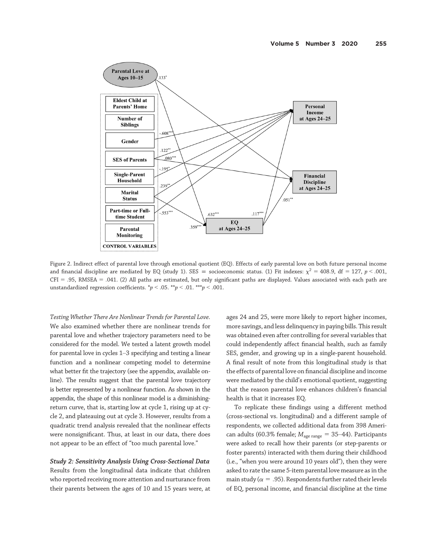

Figure 2. Indirect effect of parental love through emotional quotient (EQ). Effects of early parental love on both future personal income and financial discipline are mediated by EQ (study 1). SES = socioeconomic status. (1) Fit indexes:  $\chi^2$  = 408.9, df = 127, p < .001,  $CFI = .95$ , RMSEA = .041. (2) All paths are estimated, but only significant paths are displayed. Values associated with each path are unstandardized regression coefficients.  $\frac{p}{p}$  < .05.  $\frac{p}{p}$  < .01.  $\frac{p}{p}$  < .001.

Testing Whether There Are Nonlinear Trends for Parental Love. We also examined whether there are nonlinear trends for parental love and whether trajectory parameters need to be considered for the model. We tested a latent growth model for parental love in cycles 1–3 specifying and testing a linear function and a nonlinear competing model to determine what better fit the trajectory (see the appendix, available online). The results suggest that the parental love trajectory is better represented by a nonlinear function. As shown in the appendix, the shape of this nonlinear model is a diminishingreturn curve, that is, starting low at cycle 1, rising up at cycle 2, and plateauing out at cycle 3. However, results from a quadratic trend analysis revealed that the nonlinear effects were nonsignificant. Thus, at least in our data, there does not appear to be an effect of "too much parental love."

Study 2: Sensitivity Analysis Using Cross-Sectional Data Results from the longitudinal data indicate that children who reported receiving more attention and nurturance from their parents between the ages of 10 and 15 years were, at

ages 24 and 25, were more likely to report higher incomes, more savings, and less delinquency in paying bills. This result was obtained even after controlling for several variables that could independently affect financial health, such as family SES, gender, and growing up in a single-parent household. A final result of note from this longitudinal study is that the effects of parental love on financial discipline and income were mediated by the child's emotional quotient, suggesting that the reason parental love enhances children's financial health is that it increases EQ.

To replicate these findings using a different method (cross-sectional vs. longitudinal) and a different sample of respondents, we collected additional data from 398 American adults (60.3% female;  $M_{\text{age range}} = 35–44$ ). Participants were asked to recall how their parents (or step-parents or foster parents) interacted with them during their childhood (i.e., "when you were around 10 years old"), then they were asked to rate the same 5-item parental love measure as in the main study ( $\alpha = .95$ ). Respondents further rated their levels of EQ, personal income, and financial discipline at the time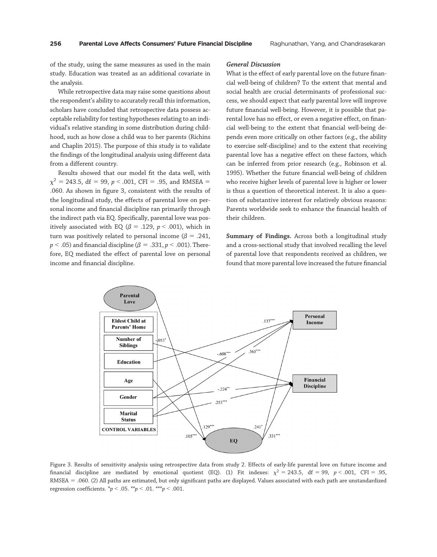of the study, using the same measures as used in the main study. Education was treated as an additional covariate in the analysis.

While retrospective data may raise some questions about the respondent's ability to accurately recall this information, scholars have concluded that retrospective data possess acceptable reliability for testing hypotheses relating to an individual's relative standing in some distribution during childhood, such as how close a child was to her parents (Richins and Chaplin 2015). The purpose of this study is to validate the findings of the longitudinal analysis using different data from a different country.

Results showed that our model fit the data well, with  $x^{2} = 243.5$ , df = 99, p < :001, CFI = :95, and RMSEA = :060. As shown in figure 3, consistent with the results of the longitudinal study, the effects of parental love on personal income and financial discipline ran primarily through the indirect path via EQ. Specifically, parental love was positively associated with EQ ( $\beta$  = .129, p < .001), which in turn was positively related to personal income ( $\beta = .241$ ,  $p < .05$ ) and financial discipline ( $\beta = .331, p < .001$ ). Therefore, EQ mediated the effect of parental love on personal income and financial discipline.

#### General Discussion

What is the effect of early parental love on the future financial well-being of children? To the extent that mental and social health are crucial determinants of professional success, we should expect that early parental love will improve future financial well-being. However, it is possible that parental love has no effect, or even a negative effect, on financial well-being to the extent that financial well-being depends even more critically on other factors (e.g., the ability to exercise self-discipline) and to the extent that receiving parental love has a negative effect on these factors, which can be inferred from prior research (e.g., Robinson et al. 1995). Whether the future financial well-being of children who receive higher levels of parental love is higher or lower is thus a question of theoretical interest. It is also a question of substantive interest for relatively obvious reasons: Parents worldwide seek to enhance the financial health of their children.

Summary of Findings. Across both a longitudinal study and a cross-sectional study that involved recalling the level of parental love that respondents received as children, we found that more parental love increased the future financial



Figure 3. Results of sensitivity analysis using retrospective data from study 2. Effects of early-life parental love on future income and financial discipline are mediated by emotional quotient (EQ). (1) Fit indexes:  $\chi^2 = 243.5$ , df = 99, p < .001, CFI = .95, RMSEA = .060. (2) All paths are estimated, but only significant paths are displayed. Values associated with each path are unstandardized regression coefficients.  ${}^*p$  < .05.  ${}^{**}p$  < .01.  ${}^{***}p$  < .001.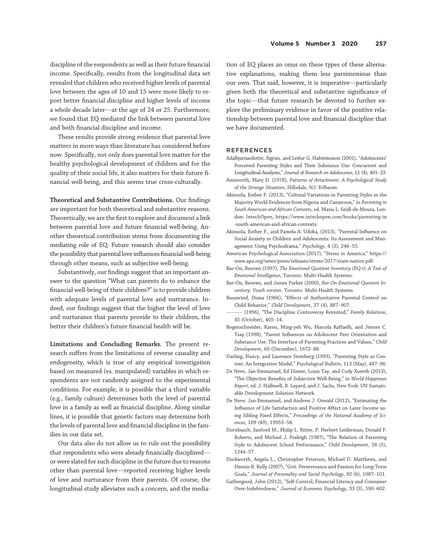discipline of the respondents as well as their future financial income. Specifically, results from the longitudinal data set revealed that children who received higher levels of parental love between the ages of 10 and 15 were more likely to report better financial discipline and higher levels of income a whole decade later—at the age of 24 or 25. Furthermore, we found that EQ mediated the link between parental love and both financial discipline and income.

These results provide strong evidence that parental love matters in more ways than literature has considered before now. Specifically, not only does parental love matter for the healthy psychological development of children and for the quality of their social life, it also matters for their future financial well-being, and this seems true cross-culturally.

Theoretical and Substantive Contributions. Our findings are important for both theoretical and substantive reasons. Theoretically, we are the first to explore and document a link between parental love and future financial well-being. Another theoretical contribution stems from documenting the mediating role of EQ. Future research should also consider the possibility that parental love influences financial well-being through other means, such as subjective well-being.

Substantively, our findings suggest that an important answer to the question "What can parents do to enhance the financial well-being of their children?" is to provide children with adequate levels of parental love and nurturance. Indeed, our findings suggest that the higher the level of love and nurturance that parents provide to their children, the better their children's future financial health will be.

Limitations and Concluding Remarks. The present research suffers from the limitations of reverse causality and endogeneity, which is true of any empirical investigation based on measured (vs. manipulated) variables in which respondents are not randomly assigned to the experimental conditions. For example, it is possible that a third variable (e.g., family culture) determines both the level of parental love in a family as well as financial discipline. Along similar lines, it is possible that genetic factors may determine both the levels of parental love and financial discipline in the families in our data set.

Our data also do not allow us to rule out the possibility that respondents who were already financially disciplined or were slated for such discipline in the future due to reasons other than parental love—reported receiving higher levels of love and nurturance from their parents. Of course, the longitudinal study alleviates such a concern, and the media-

tion of EQ places an onus on these types of these alternative explanations, making them less parsimonious than our own. That said, however, it is imperative—particularly given both the theoretical and substantive significance of the topic—that future research be devoted to further explore the preliminary evidence in favor of the positive relationship between parental love and financial discipline that we have documented.

#### **REFERENCES**

- Adalbjarnardottir, Sigrun, and Leifur G. Hafsteinsson (2001), "Adolescents' Perceived Parenting Styles and Their Substance Use: Concurrent and Longitudinal Analyses," Journal of Research on Adolescence, 11 (4), 401–23.
- Ainsworth, Mary D. (1978), Patterns of Attachment: A Psychological Study of the Strange Situation, Hillsdale, NJ: Erlbaum.
- Akinsola, Esther F. (2013), "Cultural Variations in Parenting Styles in the Majority World Evidences from Nigeria and Cameroon," in Parenting in South American and African Contexts, ed. Maria L. Seidl-de-Moura, London: IntechOpen, https://www.intechopen.com/books/parenting-in -south-american-and-african-contexts.
- Akinsola, Esther F., and Pamela A. Udoka, (2013), "Parental Influence on Social Anxiety in Children and Adolescents: Its Assessment and Management Using Psychodrama," Psychology, 4 (3), 246–53.
- American Psychological Association (2017), "Stress in America," https:// www.apa.org/news/press/releases/stress/2017/state-nation.pdf.
- Bar-On, Reuven (1997), The Emotional Quotient Inventory (EQ-i): A Test of Emotional Intelligence, Toronto: Multi-Health Systems.
- Bar-On, Reuven, and James Parker (2000), Bar-On Emotional Quotient Inventory: Youth version. Toronto: Multi-Health Systems.
- Baumrind, Diana (1966), "Effects of Authoritative Parental Control on Child Behavior," Child Development, 37 (4), 887–907.
- (1996), "The Discipline Controversy Revisited," Family Relations, 45 (October), 405–14.
- Bogenschneider, Karen, Ming-yeh Wu, Marcela Raffaelli, and Jenner C. Tsay (1998), "Parent Influences on Adolescent Peer Orientation and Substance Use: The Interface of Parenting Practices and Values," Child Development, 69 (December), 1672–88.
- Darling, Nancy, and Laurence Steinberg (1993), "Parenting Style as Context: An Integrative Model," Psychological Bulletin, 113 (May), 487–96.
- De Neve, Jan-Emmanuel, Ed Diener, Louis Tay, and Cody Xuereb (2013), "The Objective Benefits of Subjective Well-Being," in World Happiness Report, ed. J. Halliwell, R. Layard, and J. Sachs, New York: UN Sustainable Development Solution Network.
- De Neve, Jan-Emmanuel, and Andrew J. Oswald (2012), "Estimating the Influence of Life Satisfaction and Positive Affect on Later Income using Sibling Fixed Effects," Proceedings of the National Academy of Sciences, 109 (49), 19953–58.
- Dornbusch, Sanford M., Philip L. Ritter, P. Herbert Leiderman, Donald F. Roberts, and Michael J. Fraleigh (1987), "The Relation of Parenting Style to Adolescent School Performance," Child Development, 58 (5), 1244–57.
- Duckworth, Angela L., Christopher Peterson, Michael D. Matthews, and Dennis R. Kelly (2007), "Grit: Perseverance and Passion for Long-Term Goals," Journal of Personality and Social Psychology, 92 (6), 1087–101.
- Gathergood, John (2012), "Self-Control, Financial Literacy and Consumer Over-Indebtedness," Journal of Economic Psychology, 33 (3), 590–602.